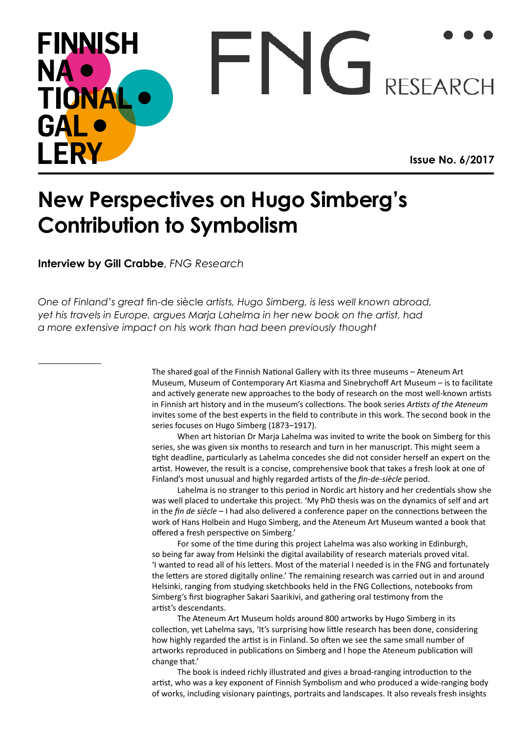## **FINNISH**  $\vdash N$  $\vdash$ **NA RESEARCH** TIONA GAL I FRY **Issue No. 6/2017**

## **New Perspectives on Hugo Simberg's Contribution to Symbolism**

**Interview by Gill Crabbe**, *FNG Research*

*One of Finland's great* fin-de siècle *artists, Hugo Simberg, is less well known abroad, yet his travels in Europe, argues Marja Lahelma in her new book on the artist, had a more extensive impact on his work than had been previously thought*

> The shared goal of the Finnish National Gallery with its three museums – Ateneum Art Museum, Museum of Contemporary Art Kiasma and Sinebrychoff Art Museum – is to facilitate and actively generate new approaches to the body of research on the most well-known artists in Finnish art history and in the museum's collections. The book series *Artists of the Ateneum*  invites some of the best experts in the field to contribute in this work. The second book in the series focuses on Hugo Simberg (1873–1917).

> When art historian Dr Marja Lahelma was invited to write the book on Simberg for this series, she was given six months to research and turn in her manuscript. This might seem a tight deadline, particularly as Lahelma concedes she did not consider herself an expert on the artist. However, the result is a concise, comprehensive book that takes a fresh look at one of Finland's most unusual and highly regarded artists of the *fin-de-siècle* period.

> Lahelma is no stranger to this period in Nordic art history and her credentials show she was well placed to undertake this project. 'My PhD thesis was on the dynamics of self and art in the *fin de siècle* – I had also delivered a conference paper on the connections between the work of Hans Holbein and Hugo Simberg, and the Ateneum Art Museum wanted a book that offered a fresh perspective on Simberg.'

> For some of the time during this project Lahelma was also working in Edinburgh, so being far away from Helsinki the digital availability of research materials proved vital. 'I wanted to read all of his letters. Most of the material I needed is in the FNG and fortunately the letters are stored digitally online.' The remaining research was carried out in and around Helsinki, ranging from studying sketchbooks held in the FNG Collections, notebooks from Simberg's first biographer Sakari Saarikivi, and gathering oral testimony from the artist's descendants.

The Ateneum Art Museum holds around 800 artworks by Hugo Simberg in its collection, yet Lahelma says, 'It's surprising how little research has been done, considering how highly regarded the artist is in Finland. So often we see the same small number of artworks reproduced in publications on Simberg and I hope the Ateneum publication will change that.'

The book is indeed richly illustrated and gives a broad-ranging introduction to the artist, who was a key exponent of Finnish Symbolism and who produced a wide-ranging body of works, including visionary paintings, portraits and landscapes. It also reveals fresh insights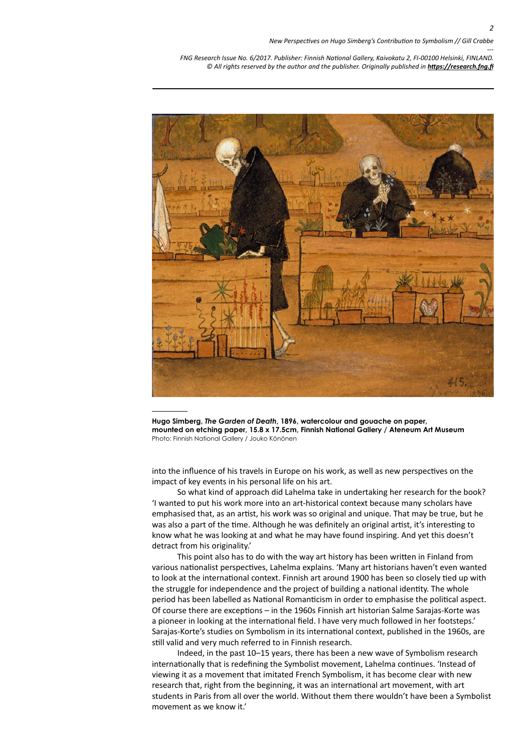

**Hugo Simberg,** *The Garden of Death***, 1896, watercolour and gouache on paper, mounted on etching paper, 15.8 x 17.5cm, Finnish National Gallery / Ateneum Art Museum** Photo: Finnish National Gallery / Jouko Könönen

into the influence of his travels in Europe on his work, as well as new perspectives on the impact of key events in his personal life on his art.

So what kind of approach did Lahelma take in undertaking her research for the book? 'I wanted to put his work more into an art-historical context because many scholars have emphasised that, as an artist, his work was so original and unique. That may be true, but he was also a part of the time. Although he was definitely an original artist, it's interesting to know what he was looking at and what he may have found inspiring. And yet this doesn't detract from his originality.'

This point also has to do with the way art history has been written in Finland from various nationalist perspectives, Lahelma explains. 'Many art historians haven't even wanted to look at the international context. Finnish art around 1900 has been so closely tied up with the struggle for independence and the project of building a national identity. The whole period has been labelled as National Romanticism in order to emphasise the political aspect. Of course there are exceptions – in the 1960s Finnish art historian Salme Sarajas-Korte was a pioneer in looking at the international field. I have very much followed in her footsteps.' Sarajas-Korte's studies on Symbolism in its international context, published in the 1960s, are still valid and very much referred to in Finnish research.

Indeed, in the past 10–15 years, there has been a new wave of Symbolism research internationally that is redefining the Symbolist movement, Lahelma continues. 'Instead of viewing it as a movement that imitated French Symbolism, it has become clear with new research that, right from the beginning, it was an international art movement, with art students in Paris from all over the world. Without them there wouldn't have been a Symbolist movement as we know it.'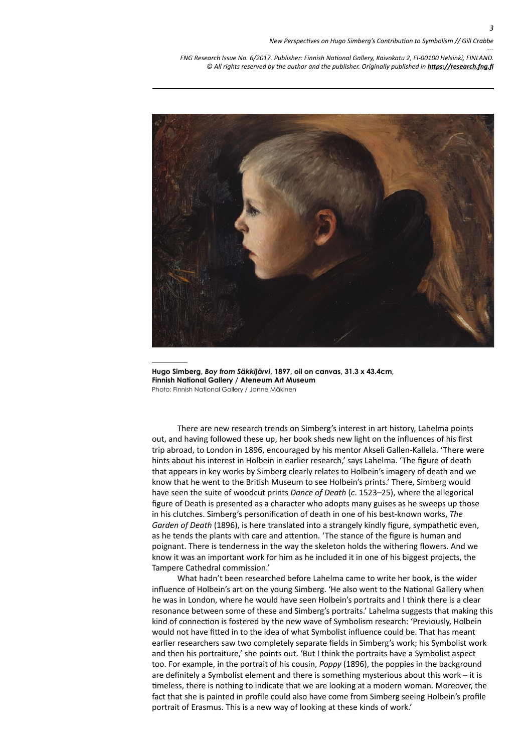

**Hugo Simberg,** *Boy from Säkkijärvi***, 1897, oil on canvas, 31.3 x 43.4cm, Finnish National Gallery / Ateneum Art Museum** Photo: Finnish National Gallery / Janne Mäkinen

There are new research trends on Simberg's interest in art history, Lahelma points out, and having followed these up, her book sheds new light on the influences of his first trip abroad, to London in 1896, encouraged by his mentor Akseli Gallen-Kallela. 'There were hints about his interest in Holbein in earlier research,' says Lahelma. 'The figure of death that appears in key works by Simberg clearly relates to Holbein's imagery of death and we know that he went to the British Museum to see Holbein's prints.' There, Simberg would have seen the suite of woodcut prints *Dance of Death* (*c*. 1523–25), where the allegorical figure of Death is presented as a character who adopts many guises as he sweeps up those in his clutches. Simberg's personification of death in one of his best-known works, *The Garden of Death* (1896), is here translated into a strangely kindly figure, sympathetic even, as he tends the plants with care and attention. 'The stance of the figure is human and poignant. There is tenderness in the way the skeleton holds the withering flowers. And we know it was an important work for him as he included it in one of his biggest projects, the Tampere Cathedral commission.'

What hadn't been researched before Lahelma came to write her book, is the wider influence of Holbein's art on the young Simberg. 'He also went to the National Gallery when he was in London, where he would have seen Holbein's portraits and I think there is a clear resonance between some of these and Simberg's portraits.' Lahelma suggests that making this kind of connection is fostered by the new wave of Symbolism research: 'Previously, Holbein would not have fitted in to the idea of what Symbolist influence could be. That has meant earlier researchers saw two completely separate fields in Simberg's work; his Symbolist work and then his portraiture,' she points out. 'But I think the portraits have a Symbolist aspect too. For example, in the portrait of his cousin, *Poppy* (1896), the poppies in the background are definitely a Symbolist element and there is something mysterious about this work – it is timeless, there is nothing to indicate that we are looking at a modern woman. Moreover, the fact that she is painted in profile could also have come from Simberg seeing Holbein's profile portrait of Erasmus. This is a new way of looking at these kinds of work.'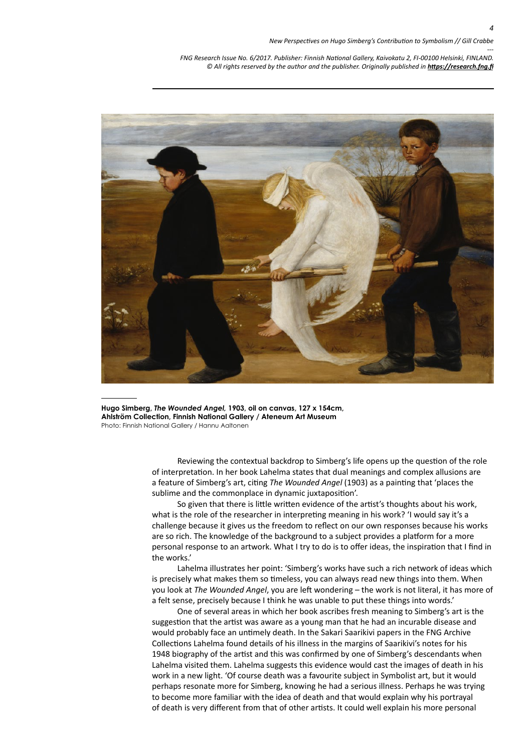

**Hugo Simberg,** *The Wounded Angel,* **1903, oil on canvas, 127 x 154cm, Ahlström Collection, Finnish National Gallery / Ateneum Art Museum** Photo: Finnish National Gallery / Hannu Aaltonen

> Reviewing the contextual backdrop to Simberg's life opens up the question of the role of interpretation. In her book Lahelma states that dual meanings and complex allusions are a feature of Simberg's art, citing *The Wounded Angel* (1903) as a painting that 'places the sublime and the commonplace in dynamic juxtaposition'.

So given that there is little written evidence of the artist's thoughts about his work, what is the role of the researcher in interpreting meaning in his work? 'I would say it's a challenge because it gives us the freedom to reflect on our own responses because his works are so rich. The knowledge of the background to a subject provides a platform for a more personal response to an artwork. What I try to do is to offer ideas, the inspiration that I find in the works.'

Lahelma illustrates her point: 'Simberg's works have such a rich network of ideas which is precisely what makes them so timeless, you can always read new things into them. When you look at *The Wounded Angel*, you are left wondering – the work is not literal, it has more of a felt sense, precisely because I think he was unable to put these things into words.'

One of several areas in which her book ascribes fresh meaning to Simberg's art is the suggestion that the artist was aware as a young man that he had an incurable disease and would probably face an untimely death. In the Sakari Saarikivi papers in the FNG Archive Collections Lahelma found details of his illness in the margins of Saarikivi's notes for his 1948 biography of the artist and this was confirmed by one of Simberg's descendants when Lahelma visited them. Lahelma suggests this evidence would cast the images of death in his work in a new light. 'Of course death was a favourite subject in Symbolist art, but it would perhaps resonate more for Simberg, knowing he had a serious illness. Perhaps he was trying to become more familiar with the idea of death and that would explain why his portrayal of death is very different from that of other artists. It could well explain his more personal